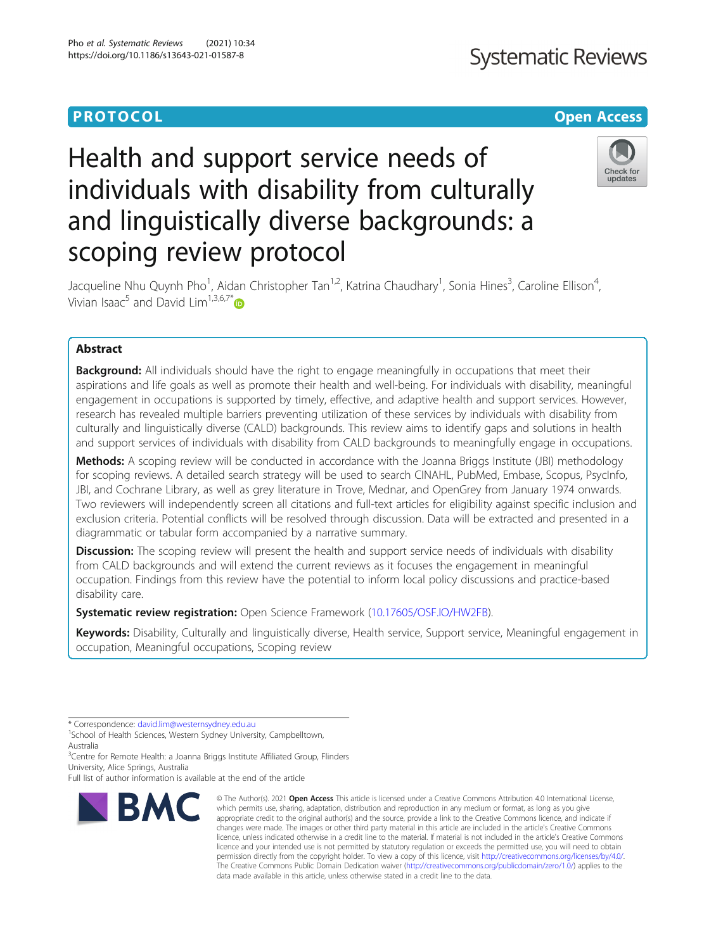## **PROTOCOL CONSUMING THE CONSUMING TEACHER CONSUMING THE CONSUMING TEACHER CONSUMING THE CONSUMING TEACHER CONSUMING**

# Health and support service needs of individuals with disability from culturally and linguistically diverse backgrounds: a scoping review protocol



Jacqueline Nhu Quynh Pho<sup>1</sup>, Aidan Christopher Tan<sup>1,2</sup>, Katrina Chaudhary<sup>1</sup>, Sonia Hines<sup>3</sup>, Caroline Ellison<sup>4</sup> , Vivian Isaac<sup>5</sup> and David Lim<sup>1,3,6,7\*</sup>

### Abstract

**Background:** All individuals should have the right to engage meaningfully in occupations that meet their aspirations and life goals as well as promote their health and well-being. For individuals with disability, meaningful engagement in occupations is supported by timely, effective, and adaptive health and support services. However, research has revealed multiple barriers preventing utilization of these services by individuals with disability from culturally and linguistically diverse (CALD) backgrounds. This review aims to identify gaps and solutions in health and support services of individuals with disability from CALD backgrounds to meaningfully engage in occupations.

Methods: A scoping review will be conducted in accordance with the Joanna Briggs Institute (JBI) methodology for scoping reviews. A detailed search strategy will be used to search CINAHL, PubMed, Embase, Scopus, PsycInfo, JBI, and Cochrane Library, as well as grey literature in Trove, Mednar, and OpenGrey from January 1974 onwards. Two reviewers will independently screen all citations and full-text articles for eligibility against specific inclusion and exclusion criteria. Potential conflicts will be resolved through discussion. Data will be extracted and presented in a diagrammatic or tabular form accompanied by a narrative summary.

Discussion: The scoping review will present the health and support service needs of individuals with disability from CALD backgrounds and will extend the current reviews as it focuses the engagement in meaningful occupation. Findings from this review have the potential to inform local policy discussions and practice-based disability care.

**Systematic review registration:** Open Science Framework ([10.17605/OSF.IO/HW2FB\)](https://osf.io/hw2fb/).

Keywords: Disability, Culturally and linguistically diverse, Health service, Support service, Meaningful engagement in occupation, Meaningful occupations, Scoping review

<sup>3</sup>Centre for Remote Health: a Joanna Briggs Institute Affiliated Group, Flinders University, Alice Springs, Australia

Full list of author information is available at the end of the article



<sup>©</sup> The Author(s), 2021 **Open Access** This article is licensed under a Creative Commons Attribution 4.0 International License, which permits use, sharing, adaptation, distribution and reproduction in any medium or format, as long as you give appropriate credit to the original author(s) and the source, provide a link to the Creative Commons licence, and indicate if changes were made. The images or other third party material in this article are included in the article's Creative Commons licence, unless indicated otherwise in a credit line to the material. If material is not included in the article's Creative Commons licence and your intended use is not permitted by statutory regulation or exceeds the permitted use, you will need to obtain permission directly from the copyright holder. To view a copy of this licence, visit [http://creativecommons.org/licenses/by/4.0/.](http://creativecommons.org/licenses/by/4.0/) The Creative Commons Public Domain Dedication waiver [\(http://creativecommons.org/publicdomain/zero/1.0/](http://creativecommons.org/publicdomain/zero/1.0/)) applies to the data made available in this article, unless otherwise stated in a credit line to the data.

<sup>\*</sup> Correspondence: [david.lim@westernsydney.edu.au](mailto:david.lim@westernsydney.edu.au) <sup>1</sup>

<sup>&</sup>lt;sup>1</sup>School of Health Sciences, Western Sydney University, Campbelltown, Australia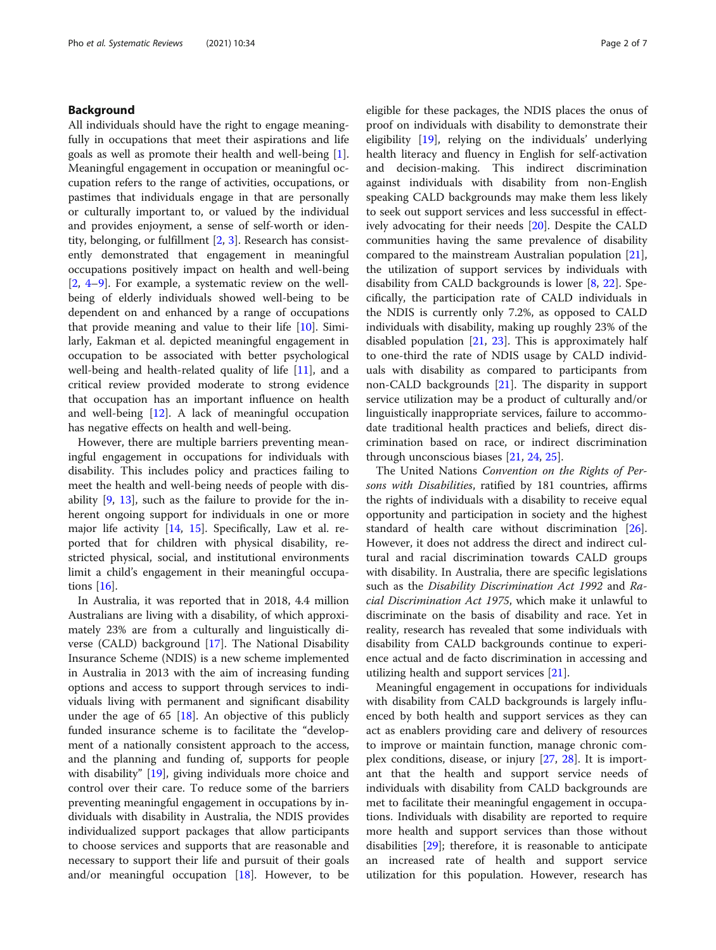#### Background

All individuals should have the right to engage meaningfully in occupations that meet their aspirations and life goals as well as promote their health and well-being [\[1](#page-5-0)]. Meaningful engagement in occupation or meaningful occupation refers to the range of activities, occupations, or pastimes that individuals engage in that are personally or culturally important to, or valued by the individual and provides enjoyment, a sense of self-worth or identity, belonging, or fulfillment [\[2](#page-5-0), [3\]](#page-5-0). Research has consistently demonstrated that engagement in meaningful occupations positively impact on health and well-being [[2,](#page-5-0) [4](#page-5-0)–[9\]](#page-5-0). For example, a systematic review on the wellbeing of elderly individuals showed well-being to be dependent on and enhanced by a range of occupations that provide meaning and value to their life [[10](#page-5-0)]. Similarly, Eakman et al. depicted meaningful engagement in occupation to be associated with better psychological well-being and health-related quality of life [\[11](#page-5-0)], and a critical review provided moderate to strong evidence that occupation has an important influence on health and well-being [\[12](#page-5-0)]. A lack of meaningful occupation has negative effects on health and well-being.

However, there are multiple barriers preventing meaningful engagement in occupations for individuals with disability. This includes policy and practices failing to meet the health and well-being needs of people with disability [\[9](#page-5-0), [13](#page-5-0)], such as the failure to provide for the inherent ongoing support for individuals in one or more major life activity [\[14](#page-5-0), [15](#page-5-0)]. Specifically, Law et al. reported that for children with physical disability, restricted physical, social, and institutional environments limit a child's engagement in their meaningful occupations [[16\]](#page-5-0).

In Australia, it was reported that in 2018, 4.4 million Australians are living with a disability, of which approximately 23% are from a culturally and linguistically diverse (CALD) background [[17](#page-5-0)]. The National Disability Insurance Scheme (NDIS) is a new scheme implemented in Australia in 2013 with the aim of increasing funding options and access to support through services to individuals living with permanent and significant disability under the age of  $65$  [\[18\]](#page-5-0). An objective of this publicly funded insurance scheme is to facilitate the "development of a nationally consistent approach to the access, and the planning and funding of, supports for people with disability" [\[19](#page-5-0)], giving individuals more choice and control over their care. To reduce some of the barriers preventing meaningful engagement in occupations by individuals with disability in Australia, the NDIS provides individualized support packages that allow participants to choose services and supports that are reasonable and necessary to support their life and pursuit of their goals and/or meaningful occupation  $[18]$  $[18]$  $[18]$ . However, to be eligible for these packages, the NDIS places the onus of proof on individuals with disability to demonstrate their eligibility [\[19](#page-5-0)], relying on the individuals' underlying health literacy and fluency in English for self-activation and decision-making. This indirect discrimination against individuals with disability from non-English speaking CALD backgrounds may make them less likely to seek out support services and less successful in effectively advocating for their needs [[20](#page-5-0)]. Despite the CALD communities having the same prevalence of disability compared to the mainstream Australian population [\[21](#page-5-0)], the utilization of support services by individuals with disability from CALD backgrounds is lower [\[8](#page-5-0), [22\]](#page-5-0). Specifically, the participation rate of CALD individuals in the NDIS is currently only 7.2%, as opposed to CALD individuals with disability, making up roughly 23% of the disabled population [\[21](#page-5-0), [23](#page-5-0)]. This is approximately half to one-third the rate of NDIS usage by CALD individuals with disability as compared to participants from non-CALD backgrounds [[21\]](#page-5-0). The disparity in support service utilization may be a product of culturally and/or linguistically inappropriate services, failure to accommodate traditional health practices and beliefs, direct discrimination based on race, or indirect discrimination through unconscious biases [[21,](#page-5-0) [24,](#page-5-0) [25\]](#page-6-0).

The United Nations Convention on the Rights of Persons with Disabilities, ratified by 181 countries, affirms the rights of individuals with a disability to receive equal opportunity and participation in society and the highest standard of health care without discrimination [\[26](#page-6-0)]. However, it does not address the direct and indirect cultural and racial discrimination towards CALD groups with disability. In Australia, there are specific legislations such as the Disability Discrimination Act 1992 and Racial Discrimination Act 1975, which make it unlawful to discriminate on the basis of disability and race. Yet in reality, research has revealed that some individuals with disability from CALD backgrounds continue to experience actual and de facto discrimination in accessing and utilizing health and support services [[21\]](#page-5-0).

Meaningful engagement in occupations for individuals with disability from CALD backgrounds is largely influenced by both health and support services as they can act as enablers providing care and delivery of resources to improve or maintain function, manage chronic complex conditions, disease, or injury [[27,](#page-6-0) [28\]](#page-6-0). It is important that the health and support service needs of individuals with disability from CALD backgrounds are met to facilitate their meaningful engagement in occupations. Individuals with disability are reported to require more health and support services than those without disabilities [[29\]](#page-6-0); therefore, it is reasonable to anticipate an increased rate of health and support service utilization for this population. However, research has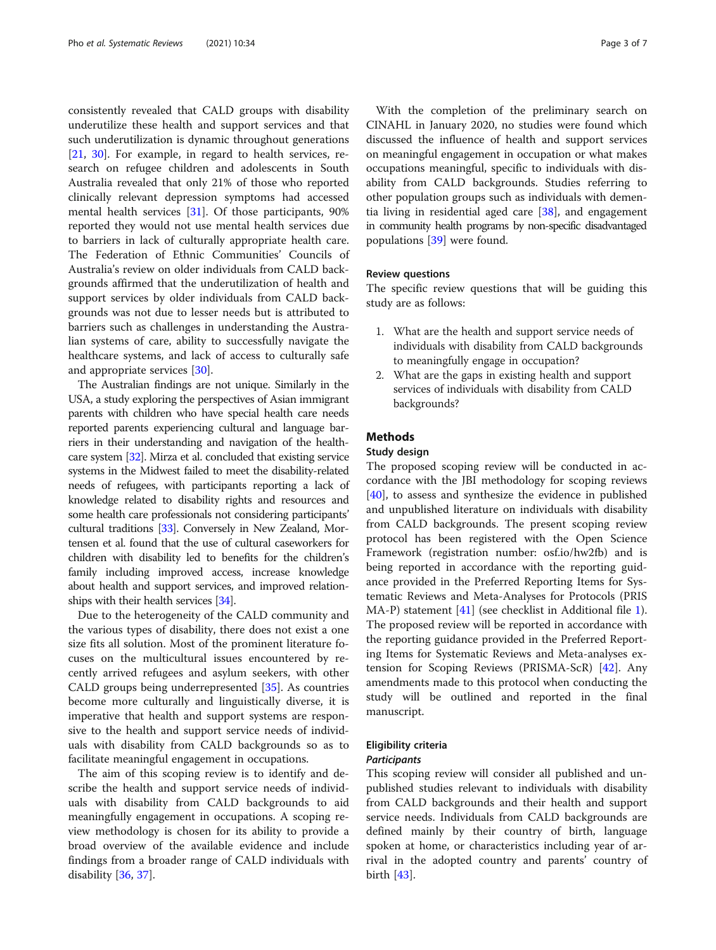consistently revealed that CALD groups with disability underutilize these health and support services and that such underutilization is dynamic throughout generations [[21,](#page-5-0) [30](#page-6-0)]. For example, in regard to health services, research on refugee children and adolescents in South Australia revealed that only 21% of those who reported clinically relevant depression symptoms had accessed mental health services [\[31](#page-6-0)]. Of those participants, 90% reported they would not use mental health services due to barriers in lack of culturally appropriate health care. The Federation of Ethnic Communities' Councils of Australia's review on older individuals from CALD backgrounds affirmed that the underutilization of health and support services by older individuals from CALD backgrounds was not due to lesser needs but is attributed to barriers such as challenges in understanding the Australian systems of care, ability to successfully navigate the healthcare systems, and lack of access to culturally safe and appropriate services [\[30](#page-6-0)].

The Australian findings are not unique. Similarly in the USA, a study exploring the perspectives of Asian immigrant parents with children who have special health care needs reported parents experiencing cultural and language barriers in their understanding and navigation of the healthcare system [\[32\]](#page-6-0). Mirza et al. concluded that existing service systems in the Midwest failed to meet the disability-related needs of refugees, with participants reporting a lack of knowledge related to disability rights and resources and some health care professionals not considering participants' cultural traditions [\[33\]](#page-6-0). Conversely in New Zealand, Mortensen et al. found that the use of cultural caseworkers for children with disability led to benefits for the children's family including improved access, increase knowledge about health and support services, and improved relationships with their health services [\[34](#page-6-0)].

Due to the heterogeneity of the CALD community and the various types of disability, there does not exist a one size fits all solution. Most of the prominent literature focuses on the multicultural issues encountered by recently arrived refugees and asylum seekers, with other CALD groups being underrepresented [[35](#page-6-0)]. As countries become more culturally and linguistically diverse, it is imperative that health and support systems are responsive to the health and support service needs of individuals with disability from CALD backgrounds so as to facilitate meaningful engagement in occupations.

The aim of this scoping review is to identify and describe the health and support service needs of individuals with disability from CALD backgrounds to aid meaningfully engagement in occupations. A scoping review methodology is chosen for its ability to provide a broad overview of the available evidence and include findings from a broader range of CALD individuals with disability [\[36,](#page-6-0) [37\]](#page-6-0).

With the completion of the preliminary search on CINAHL in January 2020, no studies were found which discussed the influence of health and support services on meaningful engagement in occupation or what makes occupations meaningful, specific to individuals with disability from CALD backgrounds. Studies referring to other population groups such as individuals with dementia living in residential aged care [[38\]](#page-6-0), and engagement in community health programs by non-specific disadvantaged populat[ion](#page-6-0)s [39] were found.

#### Review questions

The specific review questions that will be guiding this study are as follows:

- 1. What are the health and support service needs of individuals with disability from CALD backgrounds to meaningfully engage in occupation?
- 2. What are the gaps in existing health and support services of individuals with disability from CALD backgrounds?

#### **Methods**

#### Study design

The proposed scoping review will be conducted in accordance with the JBI methodology for scoping reviews [[40\]](#page-6-0), to assess and synthesize the evidence in published and unpublished literature on individuals with disability from CALD backgrounds. The present scoping review protocol has been registered with the Open Science Framework (registration number: osf.io/hw2fb) and is being reported in accordance with the reporting guidance provided in the Preferred Reporting Items for Systematic Reviews and Meta-Analyses for Protocols (PRIS MA-P) statement [\[41](#page-6-0)] (see checklist in Additional file [1](#page-5-0)). The proposed review will be reported in accordance with the reporting guidance provided in the Preferred Reporting Items for Systematic Reviews and Meta-analyses extension for Scoping Reviews (PRISMA-ScR) [[42](#page-6-0)]. Any amendments made to this protocol when conducting the study will be outlined and reported in the final manuscript.

#### Eligibility criteria

#### **Participants**

This scoping review will consider all published and unpublished studies relevant to individuals with disability from CALD backgrounds and their health and support service needs. Individuals from CALD backgrounds are defined mainly by their country of birth, language spoken at home, or characteristics including year of arrival in the adopted country and parents' country of birth [[43](#page-6-0)].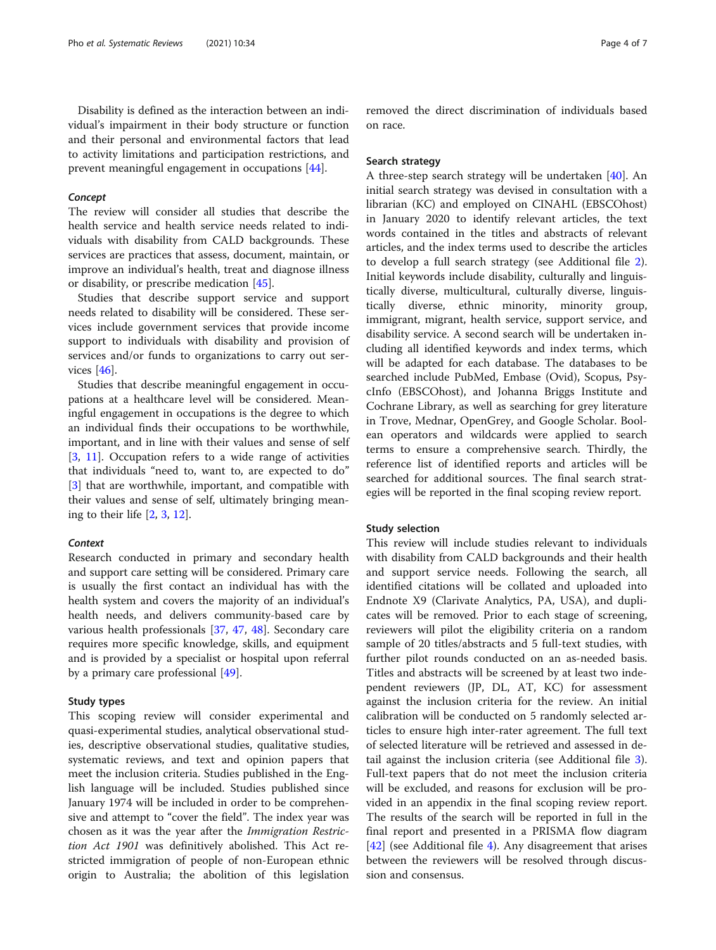Disability is defined as the interaction between an individual's impairment in their body structure or function and their personal and environmental factors that lead to activity limitations and participation restrictions, and prevent meaningful engagement in occupations [\[44](#page-6-0)].

#### Concept

The review will consider all studies that describe the health service and health service needs related to individuals with disability from CALD backgrounds. These services are practices that assess, document, maintain, or improve an individual's health, treat and diagnose illness or disability, or prescribe medication [\[45](#page-6-0)].

Studies that describe support service and support needs related to disability will be considered. These services include government services that provide income support to individuals with disability and provision of services and/or funds to organizations to carry out services [\[46](#page-6-0)].

Studies that describe meaningful engagement in occupations at a healthcare level will be considered. Meaningful engagement in occupations is the degree to which an individual finds their occupations to be worthwhile, important, and in line with their values and sense of self [[3,](#page-5-0) [11](#page-5-0)]. Occupation refers to a wide range of activities that individuals "need to, want to, are expected to do" [[3\]](#page-5-0) that are worthwhile, important, and compatible with their values and sense of self, ultimately bringing meaning to their life [\[2,](#page-5-0) [3](#page-5-0), [12\]](#page-5-0).

#### **Context**

Research conducted in primary and secondary health and support care setting will be considered. Primary care is usually the first contact an individual has with the health system and covers the majority of an individual's health needs, and delivers community-based care by various health professionals [[37,](#page-6-0) [47](#page-6-0), [48](#page-6-0)]. Secondary care requires more specific knowledge, skills, and equipment and is provided by a specialist or hospital upon referral by a primary care professional [\[49](#page-6-0)].

#### Study types

This scoping review will consider experimental and quasi-experimental studies, analytical observational studies, descriptive observational studies, qualitative studies, systematic reviews, and text and opinion papers that meet the inclusion criteria. Studies published in the English language will be included. Studies published since January 1974 will be included in order to be comprehensive and attempt to "cover the field". The index year was chosen as it was the year after the Immigration Restriction Act 1901 was definitively abolished. This Act restricted immigration of people of non-European ethnic origin to Australia; the abolition of this legislation

removed the direct discrimination of individuals based on race.

#### Search strategy

A three-step search strategy will be undertaken [[40](#page-6-0)]. An initial search strategy was devised in consultation with a librarian (KC) and employed on CINAHL (EBSCOhost) in January 2020 to identify relevant articles, the text words contained in the titles and abstracts of relevant articles, and the index terms used to describe the articles to develop a full search strategy (see Additional file [2](#page-5-0)). Initial keywords include disability, culturally and linguistically diverse, multicultural, culturally diverse, linguistically diverse, ethnic minority, minority group, immigrant, migrant, health service, support service, and disability service. A second search will be undertaken including all identified keywords and index terms, which will be adapted for each database. The databases to be searched include PubMed, Embase (Ovid), Scopus, PsycInfo (EBSCOhost), and Johanna Briggs Institute and Cochrane Library, as well as searching for grey literature in Trove, Mednar, OpenGrey, and Google Scholar. Boolean operators and wildcards were applied to search terms to ensure a comprehensive search. Thirdly, the reference list of identified reports and articles will be searched for additional sources. The final search strategies will be reported in the final scoping review report.

#### Study selection

This review will include studies relevant to individuals with disability from CALD backgrounds and their health and support service needs. Following the search, all identified citations will be collated and uploaded into Endnote X9 (Clarivate Analytics, PA, USA), and duplicates will be removed. Prior to each stage of screening, reviewers will pilot the eligibility criteria on a random sample of 20 titles/abstracts and 5 full-text studies, with further pilot rounds conducted on an as-needed basis. Titles and abstracts will be screened by at least two independent reviewers (JP, DL, AT, KC) for assessment against the inclusion criteria for the review. An initial calibration will be conducted on 5 randomly selected articles to ensure high inter-rater agreement. The full text of selected literature will be retrieved and assessed in detail against the inclusion criteria (see Additional file [3](#page-5-0)). Full-text papers that do not meet the inclusion criteria will be excluded, and reasons for exclusion will be provided in an appendix in the final scoping review report. The results of the search will be reported in full in the final report and presented in a PRISMA flow diagram [[42\]](#page-6-0) (see Additional file [4](#page-5-0)). Any disagreement that arises between the reviewers will be resolved through discussion and consensus.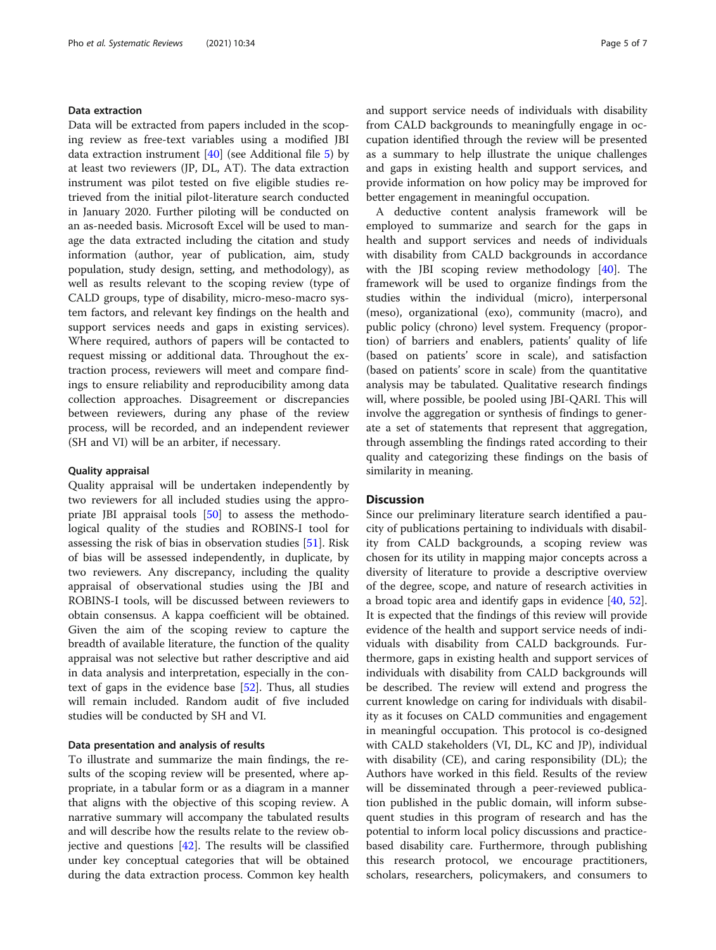#### Data extraction

Data will be extracted from papers included in the scoping review as free-text variables using a modified JBI data extraction instrument  $[40]$  $[40]$  (see Additional file [5\)](#page-5-0) by at least two reviewers (JP, DL, AT). The data extraction instrument was pilot tested on five eligible studies retrieved from the initial pilot-literature search conducted in January 2020. Further piloting will be conducted on an as-needed basis. Microsoft Excel will be used to manage the data extracted including the citation and study information (author, year of publication, aim, study population, study design, setting, and methodology), as well as results relevant to the scoping review (type of CALD groups, type of disability, micro-meso-macro system factors, and relevant key findings on the health and support services needs and gaps in existing services). Where required, authors of papers will be contacted to request missing or additional data. Throughout the extraction process, reviewers will meet and compare findings to ensure reliability and reproducibility among data collection approaches. Disagreement or discrepancies between reviewers, during any phase of the review process, will be recorded, and an independent reviewer (SH and VI) will be an arbiter, if necessary.

#### Quality appraisal

Quality appraisal will be undertaken independently by two reviewers for all included studies using the appropriate JBI appraisal tools [[50\]](#page-6-0) to assess the methodological quality of the studies and ROBINS-I tool for assessing the risk of bias in observation studies [\[51\]](#page-6-0). Risk of bias will be assessed independently, in duplicate, by two reviewers. Any discrepancy, including the quality appraisal of observational studies using the JBI and ROBINS-I tools, will be discussed between reviewers to obtain consensus. A kappa coefficient will be obtained. Given the aim of the scoping review to capture the breadth of available literature, the function of the quality appraisal was not selective but rather descriptive and aid in data analysis and interpretation, especially in the context of gaps in the evidence base [[52\]](#page-6-0). Thus, all studies will remain included. Random audit of five included studies will be conducted by SH and VI.

#### Data presentation and analysis of results

To illustrate and summarize the main findings, the results of the scoping review will be presented, where appropriate, in a tabular form or as a diagram in a manner that aligns with the objective of this scoping review. A narrative summary will accompany the tabulated results and will describe how the results relate to the review objective and questions [[42\]](#page-6-0). The results will be classified under key conceptual categories that will be obtained during the data extraction process. Common key health and support service needs of individuals with disability from CALD backgrounds to meaningfully engage in occupation identified through the review will be presented as a summary to help illustrate the unique challenges and gaps in existing health and support services, and provide information on how policy may be improved for better engagement in meaningful occupation.

A deductive content analysis framework will be employed to summarize and search for the gaps in health and support services and needs of individuals with disability from CALD backgrounds in accordance with the JBI scoping review methodology [[40\]](#page-6-0). The framework will be used to organize findings from the studies within the individual (micro), interpersonal (meso), organizational (exo), community (macro), and public policy (chrono) level system. Frequency (proportion) of barriers and enablers, patients' quality of life (based on patients' score in scale), and satisfaction (based on patients' score in scale) from the quantitative analysis may be tabulated. Qualitative research findings will, where possible, be pooled using JBI-QARI. This will involve the aggregation or synthesis of findings to generate a set of statements that represent that aggregation, through assembling the findings rated according to their quality and categorizing these findings on the basis of similarity in meaning.

#### **Discussion**

Since our preliminary literature search identified a paucity of publications pertaining to individuals with disability from CALD backgrounds, a scoping review was chosen for its utility in mapping major concepts across a diversity of literature to provide a descriptive overview of the degree, scope, and nature of research activities in a broad topic area and identify gaps in evidence [\[40](#page-6-0), [52](#page-6-0)]. It is expected that the findings of this review will provide evidence of the health and support service needs of individuals with disability from CALD backgrounds. Furthermore, gaps in existing health and support services of individuals with disability from CALD backgrounds will be described. The review will extend and progress the current knowledge on caring for individuals with disability as it focuses on CALD communities and engagement in meaningful occupation. This protocol is co-designed with CALD stakeholders (VI, DL, KC and JP), individual with disability (CE), and caring responsibility (DL); the Authors have worked in this field. Results of the review will be disseminated through a peer-reviewed publication published in the public domain, will inform subsequent studies in this program of research and has the potential to inform local policy discussions and practicebased disability care. Furthermore, through publishing this research protocol, we encourage practitioners, scholars, researchers, policymakers, and consumers to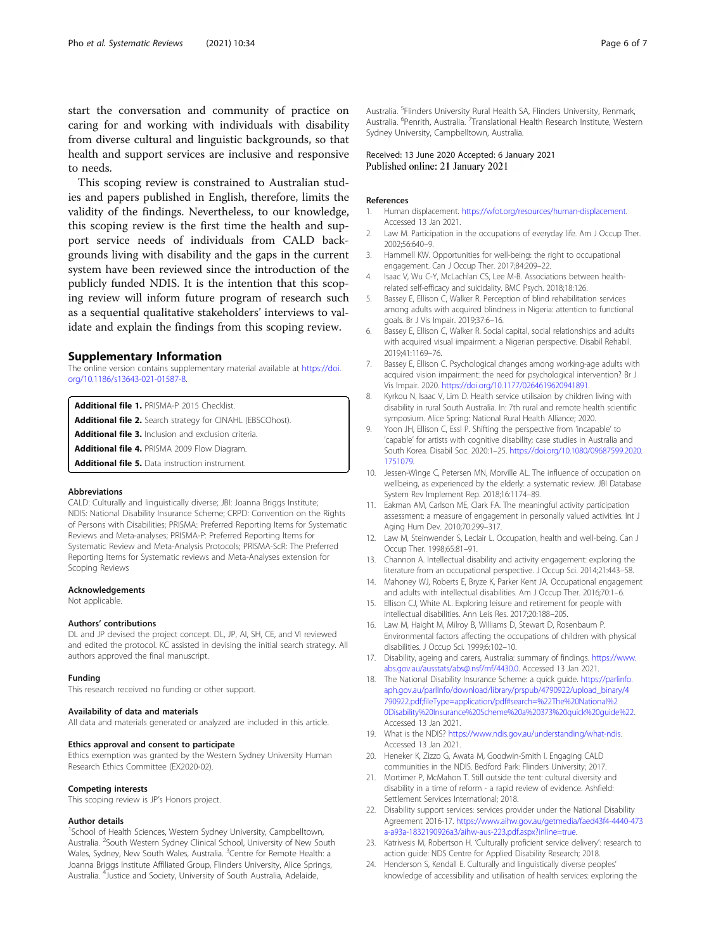<span id="page-5-0"></span>start the conversation and community of practice on caring for and working with individuals with disability from diverse cultural and linguistic backgrounds, so that health and support services are inclusive and responsive to needs.

This scoping review is constrained to Australian studies and papers published in English, therefore, limits the validity of the findings. Nevertheless, to our knowledge, this scoping review is the first time the health and support service needs of individuals from CALD backgrounds living with disability and the gaps in the current system have been reviewed since the introduction of the publicly funded NDIS. It is the intention that this scoping review will inform future program of research such as a sequential qualitative stakeholders' interviews to validate and explain the findings from this scoping review.

#### Supplementary Information

The online version contains supplementary material available at [https://doi.](https://doi.org/10.1186/s13643-021-01587-8) [org/10.1186/s13643-021-01587-8.](https://doi.org/10.1186/s13643-021-01587-8)

Additional file 1. PRISMA-P 2015 Checklist.

Additional file 2. Search strategy for CINAHL (EBSCOhost).

Additional file 3. Inclusion and exclusion criteria.

Additional file 4. PRISMA 2009 Flow Diagram.

Additional file 5. Data instruction instrument.

#### Abbreviations

CALD: Culturally and linguistically diverse; JBI: Joanna Briggs Institute; NDIS: National Disability Insurance Scheme; CRPD: Convention on the Rights of Persons with Disabilities; PRISMA: Preferred Reporting Items for Systematic Reviews and Meta-analyses; PRISMA-P: Preferred Reporting Items for Systematic Review and Meta-Analysis Protocols; PRISMA-ScR: The Preferred Reporting Items for Systematic reviews and Meta-Analyses extension for Scoping Reviews

#### Acknowledgements

Not applicable.

#### Authors' contributions

DL and JP devised the project concept. DL, JP, AI, SH, CE, and VI reviewed and edited the protocol. KC assisted in devising the initial search strategy. All authors approved the final manuscript.

#### Funding

This research received no funding or other support.

#### Availability of data and materials

All data and materials generated or analyzed are included in this article.

#### Ethics approval and consent to participate

Ethics exemption was granted by the Western Sydney University Human Research Ethics Committee (EX2020-02).

#### Competing interests

This scoping review is JP's Honors project.

#### Author details

<sup>1</sup>School of Health Sciences, Western Sydney University, Campbelltown, Australia. <sup>2</sup>South Western Sydney Clinical School, University of New South Wales, Sydney, New South Wales, Australia. <sup>3</sup>Centre for Remote Health: a Joanna Briggs Institute Affiliated Group, Flinders University, Alice Springs, Australia. <sup>4</sup> Justice and Society, University of South Australia, Adelaide,

Australia. <sup>5</sup>Flinders University Rural Health SA, Flinders University, Renmark Australia. <sup>6</sup>Penrith, Australia. <sup>7</sup>Translational Health Research Institute, Western Sydney University, Campbelltown, Australia.

#### Received: 13 June 2020 Accepted: 6 January 2021 Published online: 21 January 2021

#### References

- 1. Human displacement. [https://wfot.org/resources/human-displacement.](https://wfot.org/resources/human-displacement) Accessed 13 Jan 2021.
- 2. Law M. Participation in the occupations of everyday life. Am J Occup Ther. 2002;56:640–9.
- 3. Hammell KW. Opportunities for well-being: the right to occupational engagement. Can J Occup Ther. 2017;84:209–22.
- 4. Isaac V, Wu C-Y, McLachlan CS, Lee M-B. Associations between healthrelated self-efficacy and suicidality. BMC Psych. 2018;18:126.
- 5. Bassey E, Ellison C, Walker R. Perception of blind rehabilitation services among adults with acquired blindness in Nigeria: attention to functional goals. Br J Vis Impair. 2019;37:6–16.
- 6. Bassey E, Ellison C, Walker R. Social capital, social relationships and adults with acquired visual impairment: a Nigerian perspective. Disabil Rehabil. 2019;41:1169–76.
- 7. Bassey E, Ellison C. Psychological changes among working-age adults with acquired vision impairment: the need for psychological intervention? Br J Vis Impair. 2020. <https://doi.org/10.1177/0264619620941891>.
- 8. Kyrkou N, Isaac V, Lim D. Health service utilisaion by children living with disability in rural South Australia. In: 7th rural and remote health scientific symposium. Alice Spring: National Rural Health Alliance; 2020.
- 9. Yoon JH, Ellison C, Essl P. Shifting the perspective from 'incapable' to 'capable' for artists with cognitive disability; case studies in Australia and South Korea. Disabil Soc. 2020:1–25. [https://doi.org/10.1080/09687599.2020.](https://doi.org/10.1080/09687599.2020.1751079) [1751079.](https://doi.org/10.1080/09687599.2020.1751079)
- 10. Jessen-Winge C, Petersen MN, Morville AL. The influence of occupation on wellbeing, as experienced by the elderly: a systematic review. JBI Database System Rev Implement Rep. 2018;16:1174–89.
- 11. Eakman AM, Carlson ME, Clark FA. The meaningful activity participation assessment: a measure of engagement in personally valued activities. Int J Aging Hum Dev. 2010;70:299–317.
- 12. Law M, Steinwender S, Leclair L. Occupation, health and well-being. Can J Occup Ther. 1998;65:81–91.
- 13. Channon A. Intellectual disability and activity engagement: exploring the literature from an occupational perspective. J Occup Sci. 2014;21:443–58.
- 14. Mahoney WJ, Roberts E, Bryze K, Parker Kent JA. Occupational engagement and adults with intellectual disabilities. Am J Occup Ther. 2016;70:1–6.
- 15. Ellison CJ, White AL. Exploring leisure and retirement for people with intellectual disabilities. Ann Leis Res. 2017;20:188–205.
- 16. Law M, Haight M, Milroy B, Williams D, Stewart D, Rosenbaum P. Environmental factors affecting the occupations of children with physical disabilities. J Occup Sci. 1999;6:102–10.
- 17. Disability, ageing and carers, Australia: summary of findings. [https://www.](https://www.abs.gov.au/ausstats/abs@.nsf/mf/4430.0) [abs.gov.au/ausstats/abs@.nsf/mf/4430.0](https://www.abs.gov.au/ausstats/abs@.nsf/mf/4430.0). Accessed 13 Jan 2021.
- 18. The National Disability Insurance Scheme: a quick guide. [https://parlinfo.](https://parlinfo.aph.gov.au/parlInfo/download/library/prspub/4790922/upload_binary/4790922.pdf;fileType=application/pdf#search=%22The%20National%20Disability%20Insurance%20Scheme%20a%20373%20quick%20guide%22) [aph.gov.au/parlInfo/download/library/prspub/4790922/upload\\_binary/4](https://parlinfo.aph.gov.au/parlInfo/download/library/prspub/4790922/upload_binary/4790922.pdf;fileType=application/pdf#search=%22The%20National%20Disability%20Insurance%20Scheme%20a%20373%20quick%20guide%22) [790922.pdf;fileType=application/pdf#search=%22The%20National%2](https://parlinfo.aph.gov.au/parlInfo/download/library/prspub/4790922/upload_binary/4790922.pdf;fileType=application/pdf#search=%22The%20National%20Disability%20Insurance%20Scheme%20a%20373%20quick%20guide%22) [0Disability%20Insurance%20Scheme%20a%20373%20quick%20guide%22.](https://parlinfo.aph.gov.au/parlInfo/download/library/prspub/4790922/upload_binary/4790922.pdf;fileType=application/pdf#search=%22The%20National%20Disability%20Insurance%20Scheme%20a%20373%20quick%20guide%22) Accessed 13 Jan 2021.
- 19. What is the NDIS? [https://www.ndis.gov.au/understanding/what-ndis.](https://www.ndis.gov.au/understanding/what-ndis) Accessed 13 Jan 2021.
- 20. Heneker K, Zizzo G, Awata M, Goodwin-Smith I. Engaging CALD communities in the NDIS. Bedford Park: Flinders University; 2017.
- 21. Mortimer P, McMahon T. Still outside the tent: cultural diversity and disability in a time of reform - a rapid review of evidence. Ashfield: Settlement Services International; 2018.
- 22. Disability support services: services provider under the National Disability Agreement 2016-17. [https://www.aihw.gov.au/getmedia/faed43f4-4440-473](https://www.aihw.gov.au/getmedia/faed43f4-4440-473a-a93a-1832190926a3/aihw-aus-223.pdf.aspx?inline=true) [a-a93a-1832190926a3/aihw-aus-223.pdf.aspx?inline=true](https://www.aihw.gov.au/getmedia/faed43f4-4440-473a-a93a-1832190926a3/aihw-aus-223.pdf.aspx?inline=true).
- 23. Katrivesis M, Robertson H. 'Culturally proficient service delivery': research to action guide: NDS Centre for Applied Disability Research; 2018.
- 24. Henderson S, Kendall E. Culturally and linguistically diverse peoples' knowledge of accessibility and utilisation of health services: exploring the